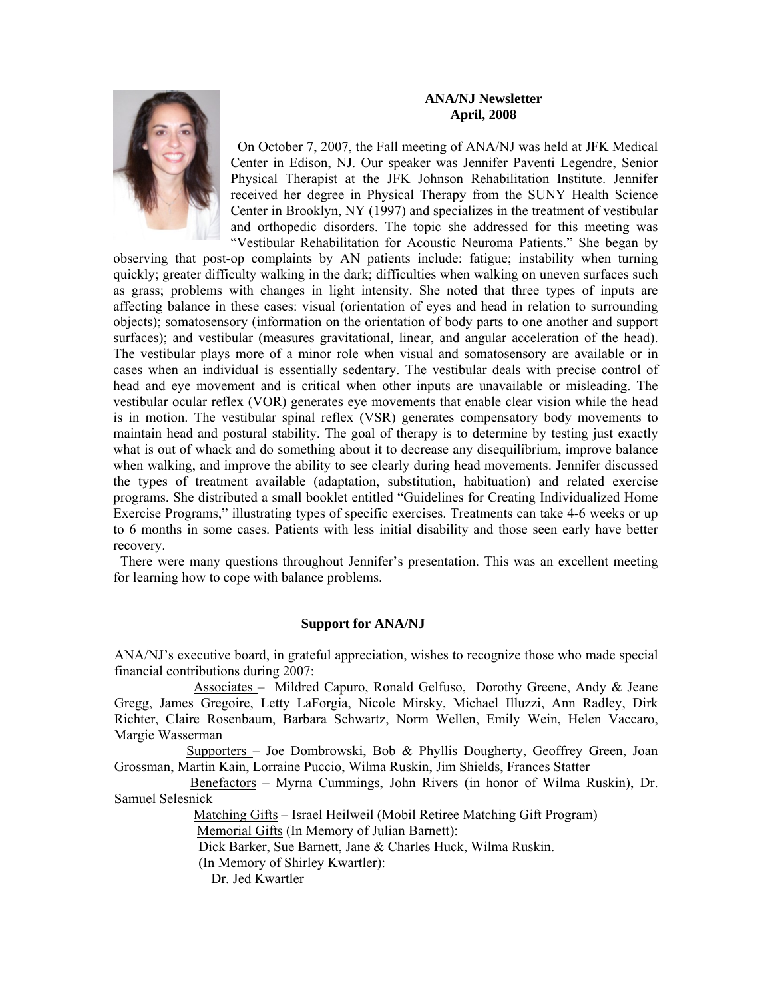## **ANA/NJ Newsletter April, 2008**



 On October 7, 2007, the Fall meeting of ANA/NJ was held at JFK Medical Center in Edison, NJ. Our speaker was Jennifer Paventi Legendre, Senior Physical Therapist at the JFK Johnson Rehabilitation Institute. Jennifer received her degree in Physical Therapy from the SUNY Health Science Center in Brooklyn, NY (1997) and specializes in the treatment of vestibular and orthopedic disorders. The topic she addressed for this meeting was "Vestibular Rehabilitation for Acoustic Neuroma Patients." She began by

observing that post-op complaints by AN patients include: fatigue; instability when turning quickly; greater difficulty walking in the dark; difficulties when walking on uneven surfaces such as grass; problems with changes in light intensity. She noted that three types of inputs are affecting balance in these cases: visual (orientation of eyes and head in relation to surrounding objects); somatosensory (information on the orientation of body parts to one another and support surfaces); and vestibular (measures gravitational, linear, and angular acceleration of the head). The vestibular plays more of a minor role when visual and somatosensory are available or in cases when an individual is essentially sedentary. The vestibular deals with precise control of head and eye movement and is critical when other inputs are unavailable or misleading. The vestibular ocular reflex (VOR) generates eye movements that enable clear vision while the head is in motion. The vestibular spinal reflex (VSR) generates compensatory body movements to maintain head and postural stability. The goal of therapy is to determine by testing just exactly what is out of whack and do something about it to decrease any disequilibrium, improve balance when walking, and improve the ability to see clearly during head movements. Jennifer discussed the types of treatment available (adaptation, substitution, habituation) and related exercise programs. She distributed a small booklet entitled "Guidelines for Creating Individualized Home Exercise Programs," illustrating types of specific exercises. Treatments can take 4-6 weeks or up to 6 months in some cases. Patients with less initial disability and those seen early have better recovery.

 There were many questions throughout Jennifer's presentation. This was an excellent meeting for learning how to cope with balance problems.

## **Support for ANA/NJ**

ANA/NJ's executive board, in grateful appreciation, wishes to recognize those who made special financial contributions during 2007:

 Associates – Mildred Capuro, Ronald Gelfuso, Dorothy Greene, Andy & Jeane Gregg, James Gregoire, Letty LaForgia, Nicole Mirsky, Michael Illuzzi, Ann Radley, Dirk Richter, Claire Rosenbaum, Barbara Schwartz, Norm Wellen, Emily Wein, Helen Vaccaro, Margie Wasserman

 Supporters – Joe Dombrowski, Bob & Phyllis Dougherty, Geoffrey Green, Joan Grossman, Martin Kain, Lorraine Puccio, Wilma Ruskin, Jim Shields, Frances Statter

 Benefactors – Myrna Cummings, John Rivers (in honor of Wilma Ruskin), Dr. Samuel Selesnick

> Matching Gifts – Israel Heilweil (Mobil Retiree Matching Gift Program) Memorial Gifts (In Memory of Julian Barnett):

Dick Barker, Sue Barnett, Jane & Charles Huck, Wilma Ruskin.

(In Memory of Shirley Kwartler):

Dr. Jed Kwartler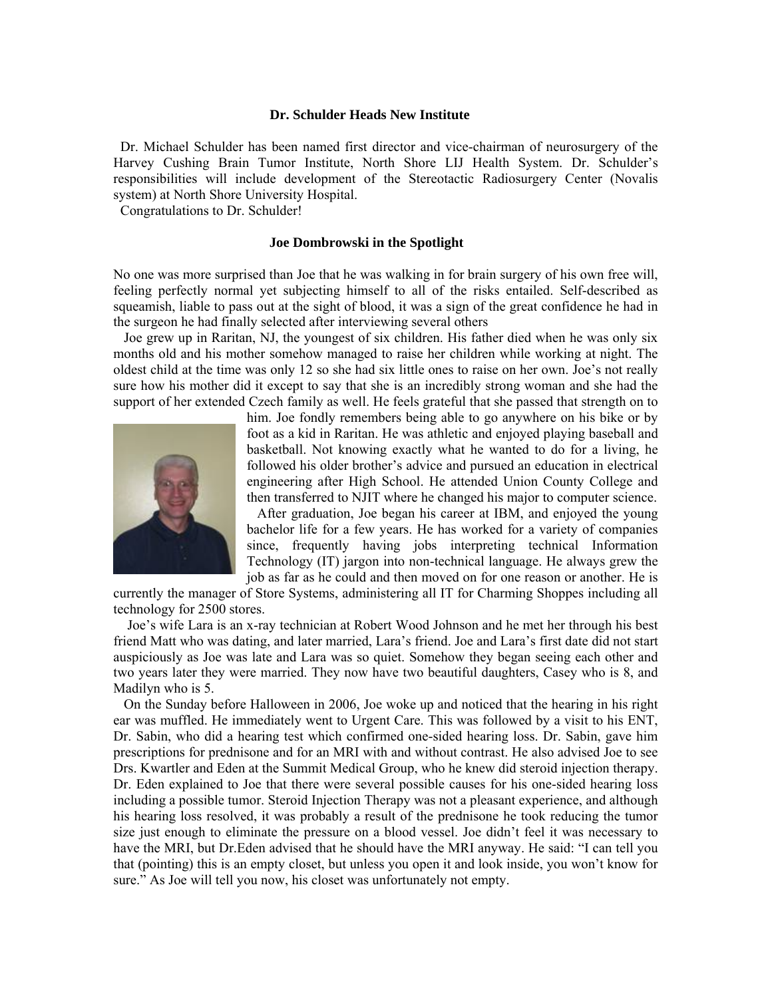#### **Dr. Schulder Heads New Institute**

 Dr. Michael Schulder has been named first director and vice-chairman of neurosurgery of the Harvey Cushing Brain Tumor Institute, North Shore LIJ Health System. Dr. Schulder's responsibilities will include development of the Stereotactic Radiosurgery Center (Novalis system) at North Shore University Hospital.

Congratulations to Dr. Schulder!

#### **Joe Dombrowski in the Spotlight**

No one was more surprised than Joe that he was walking in for brain surgery of his own free will, feeling perfectly normal yet subjecting himself to all of the risks entailed. Self-described as squeamish, liable to pass out at the sight of blood, it was a sign of the great confidence he had in the surgeon he had finally selected after interviewing several others

 Joe grew up in Raritan, NJ, the youngest of six children. His father died when he was only six months old and his mother somehow managed to raise her children while working at night. The oldest child at the time was only 12 so she had six little ones to raise on her own. Joe's not really sure how his mother did it except to say that she is an incredibly strong woman and she had the support of her extended Czech family as well. He feels grateful that she passed that strength on to



him. Joe fondly remembers being able to go anywhere on his bike or by foot as a kid in Raritan. He was athletic and enjoyed playing baseball and basketball. Not knowing exactly what he wanted to do for a living, he followed his older brother's advice and pursued an education in electrical engineering after High School. He attended Union County College and then transferred to NJIT where he changed his major to computer science.

 After graduation, Joe began his career at IBM, and enjoyed the young bachelor life for a few years. He has worked for a variety of companies since, frequently having jobs interpreting technical Information Technology (IT) jargon into non-technical language. He always grew the job as far as he could and then moved on for one reason or another. He is

currently the manager of Store Systems, administering all IT for Charming Shoppes including all technology for 2500 stores.

 Joe's wife Lara is an x-ray technician at Robert Wood Johnson and he met her through his best friend Matt who was dating, and later married, Lara's friend. Joe and Lara's first date did not start auspiciously as Joe was late and Lara was so quiet. Somehow they began seeing each other and two years later they were married. They now have two beautiful daughters, Casey who is 8, and Madilyn who is 5.

 On the Sunday before Halloween in 2006, Joe woke up and noticed that the hearing in his right ear was muffled. He immediately went to Urgent Care. This was followed by a visit to his ENT, Dr. Sabin, who did a hearing test which confirmed one-sided hearing loss. Dr. Sabin, gave him prescriptions for prednisone and for an MRI with and without contrast. He also advised Joe to see Drs. Kwartler and Eden at the Summit Medical Group, who he knew did steroid injection therapy. Dr. Eden explained to Joe that there were several possible causes for his one-sided hearing loss including a possible tumor. Steroid Injection Therapy was not a pleasant experience, and although his hearing loss resolved, it was probably a result of the prednisone he took reducing the tumor size just enough to eliminate the pressure on a blood vessel. Joe didn't feel it was necessary to have the MRI, but Dr.Eden advised that he should have the MRI anyway. He said: "I can tell you that (pointing) this is an empty closet, but unless you open it and look inside, you won't know for sure." As Joe will tell you now, his closet was unfortunately not empty.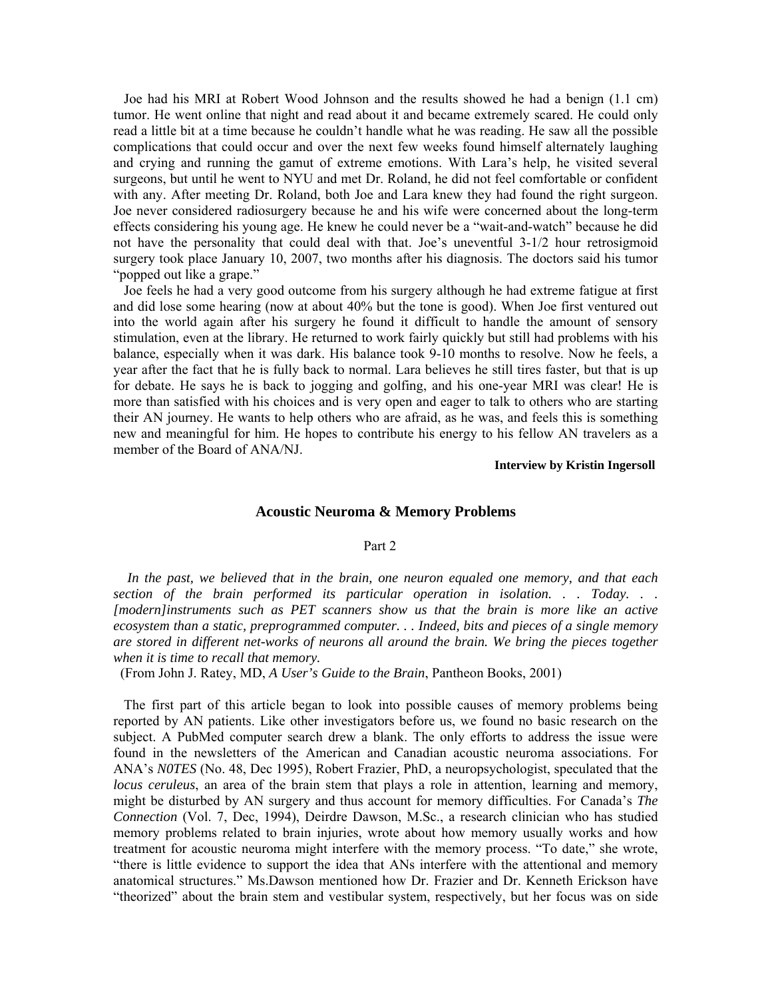Joe had his MRI at Robert Wood Johnson and the results showed he had a benign (1.1 cm) tumor. He went online that night and read about it and became extremely scared. He could only read a little bit at a time because he couldn't handle what he was reading. He saw all the possible complications that could occur and over the next few weeks found himself alternately laughing and crying and running the gamut of extreme emotions. With Lara's help, he visited several surgeons, but until he went to NYU and met Dr. Roland, he did not feel comfortable or confident with any. After meeting Dr. Roland, both Joe and Lara knew they had found the right surgeon. Joe never considered radiosurgery because he and his wife were concerned about the long-term effects considering his young age. He knew he could never be a "wait-and-watch" because he did not have the personality that could deal with that. Joe's uneventful 3-1/2 hour retrosigmoid surgery took place January 10, 2007, two months after his diagnosis. The doctors said his tumor "popped out like a grape."

 Joe feels he had a very good outcome from his surgery although he had extreme fatigue at first and did lose some hearing (now at about 40% but the tone is good). When Joe first ventured out into the world again after his surgery he found it difficult to handle the amount of sensory stimulation, even at the library. He returned to work fairly quickly but still had problems with his balance, especially when it was dark. His balance took 9-10 months to resolve. Now he feels, a year after the fact that he is fully back to normal. Lara believes he still tires faster, but that is up for debate. He says he is back to jogging and golfing, and his one-year MRI was clear! He is more than satisfied with his choices and is very open and eager to talk to others who are starting their AN journey. He wants to help others who are afraid, as he was, and feels this is something new and meaningful for him. He hopes to contribute his energy to his fellow AN travelers as a member of the Board of ANA/NJ.

**Interview by Kristin Ingersoll** 

## **Acoustic Neuroma & Memory Problems**

#### Part 2

 *In the past, we believed that in the brain, one neuron equaled one memory, and that each section of the brain performed its particular operation in isolation. . . Today. . . [modern]instruments such as PET scanners show us that the brain is more like an active ecosystem than a static, preprogrammed computer. . . Indeed, bits and pieces of a single memory are stored in different net-works of neurons all around the brain. We bring the pieces together when it is time to recall that memory.* 

(From John J. Ratey, MD, *A User's Guide to the Brain*, Pantheon Books, 2001)

 The first part of this article began to look into possible causes of memory problems being reported by AN patients. Like other investigators before us, we found no basic research on the subject. A PubMed computer search drew a blank. The only efforts to address the issue were found in the newsletters of the American and Canadian acoustic neuroma associations. For ANA's *N0TES* (No. 48, Dec 1995), Robert Frazier, PhD, a neuropsychologist, speculated that the *locus ceruleus*, an area of the brain stem that plays a role in attention, learning and memory, might be disturbed by AN surgery and thus account for memory difficulties. For Canada's *The Connection* (Vol. 7, Dec, 1994), Deirdre Dawson, M.Sc., a research clinician who has studied memory problems related to brain injuries, wrote about how memory usually works and how treatment for acoustic neuroma might interfere with the memory process. "To date," she wrote, "there is little evidence to support the idea that ANs interfere with the attentional and memory anatomical structures." Ms.Dawson mentioned how Dr. Frazier and Dr. Kenneth Erickson have "theorized" about the brain stem and vestibular system, respectively, but her focus was on side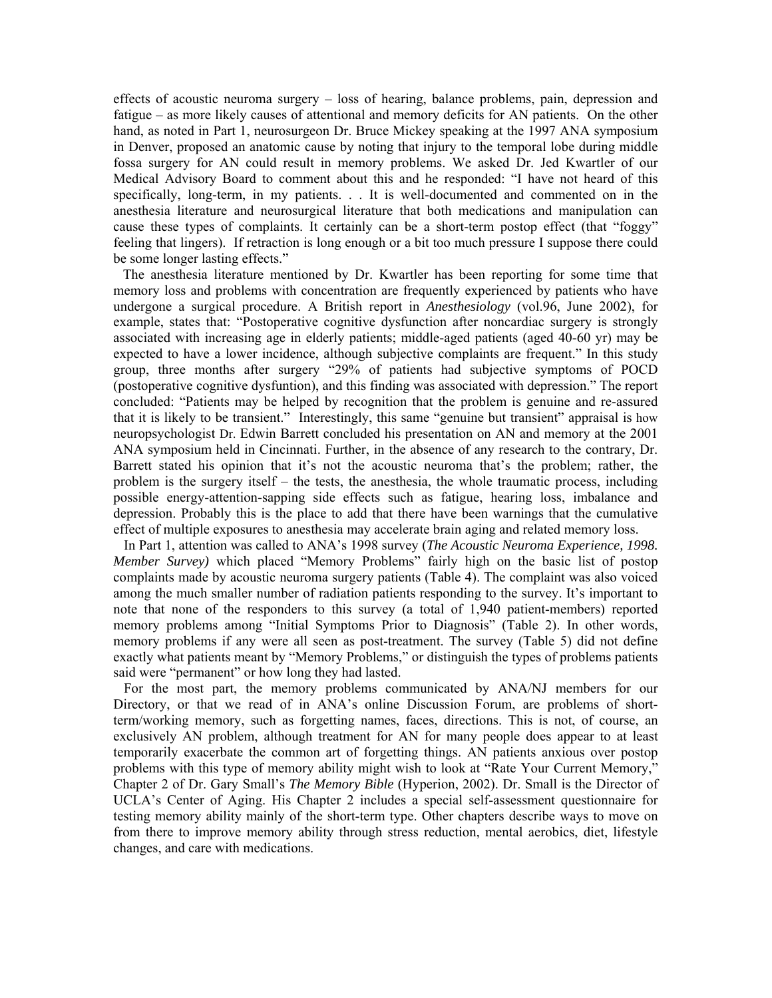effects of acoustic neuroma surgery – loss of hearing, balance problems, pain, depression and fatigue – as more likely causes of attentional and memory deficits for AN patients. On the other hand, as noted in Part 1, neurosurgeon Dr. Bruce Mickey speaking at the 1997 ANA symposium in Denver, proposed an anatomic cause by noting that injury to the temporal lobe during middle fossa surgery for AN could result in memory problems. We asked Dr. Jed Kwartler of our Medical Advisory Board to comment about this and he responded: "I have not heard of this specifically, long-term, in my patients. . . It is well-documented and commented on in the anesthesia literature and neurosurgical literature that both medications and manipulation can cause these types of complaints. It certainly can be a short-term postop effect (that "foggy" feeling that lingers). If retraction is long enough or a bit too much pressure I suppose there could be some longer lasting effects."

 The anesthesia literature mentioned by Dr. Kwartler has been reporting for some time that memory loss and problems with concentration are frequently experienced by patients who have undergone a surgical procedure. A British report in *Anesthesiology* (vol.96, June 2002), for example, states that: "Postoperative cognitive dysfunction after noncardiac surgery is strongly associated with increasing age in elderly patients; middle-aged patients (aged 40-60 yr) may be expected to have a lower incidence, although subjective complaints are frequent." In this study group, three months after surgery "29% of patients had subjective symptoms of POCD (postoperative cognitive dysfuntion), and this finding was associated with depression." The report concluded: "Patients may be helped by recognition that the problem is genuine and re-assured that it is likely to be transient." Interestingly, this same "genuine but transient" appraisal is how neuropsychologist Dr. Edwin Barrett concluded his presentation on AN and memory at the 2001 ANA symposium held in Cincinnati. Further, in the absence of any research to the contrary, Dr. Barrett stated his opinion that it's not the acoustic neuroma that's the problem; rather, the problem is the surgery itself – the tests, the anesthesia, the whole traumatic process, including possible energy-attention-sapping side effects such as fatigue, hearing loss, imbalance and depression. Probably this is the place to add that there have been warnings that the cumulative effect of multiple exposures to anesthesia may accelerate brain aging and related memory loss.

 In Part 1, attention was called to ANA's 1998 survey (*The Acoustic Neuroma Experience, 1998. Member Survey)* which placed "Memory Problems" fairly high on the basic list of postop complaints made by acoustic neuroma surgery patients (Table 4). The complaint was also voiced among the much smaller number of radiation patients responding to the survey. It's important to note that none of the responders to this survey (a total of 1,940 patient-members) reported memory problems among "Initial Symptoms Prior to Diagnosis" (Table 2). In other words, memory problems if any were all seen as post-treatment. The survey (Table 5) did not define exactly what patients meant by "Memory Problems," or distinguish the types of problems patients said were "permanent" or how long they had lasted.

 For the most part, the memory problems communicated by ANA/NJ members for our Directory, or that we read of in ANA's online Discussion Forum, are problems of shortterm/working memory, such as forgetting names, faces, directions. This is not, of course, an exclusively AN problem, although treatment for AN for many people does appear to at least temporarily exacerbate the common art of forgetting things. AN patients anxious over postop problems with this type of memory ability might wish to look at "Rate Your Current Memory," Chapter 2 of Dr. Gary Small's *The Memory Bible* (Hyperion, 2002). Dr. Small is the Director of UCLA's Center of Aging. His Chapter 2 includes a special self-assessment questionnaire for testing memory ability mainly of the short-term type. Other chapters describe ways to move on from there to improve memory ability through stress reduction, mental aerobics, diet, lifestyle changes, and care with medications.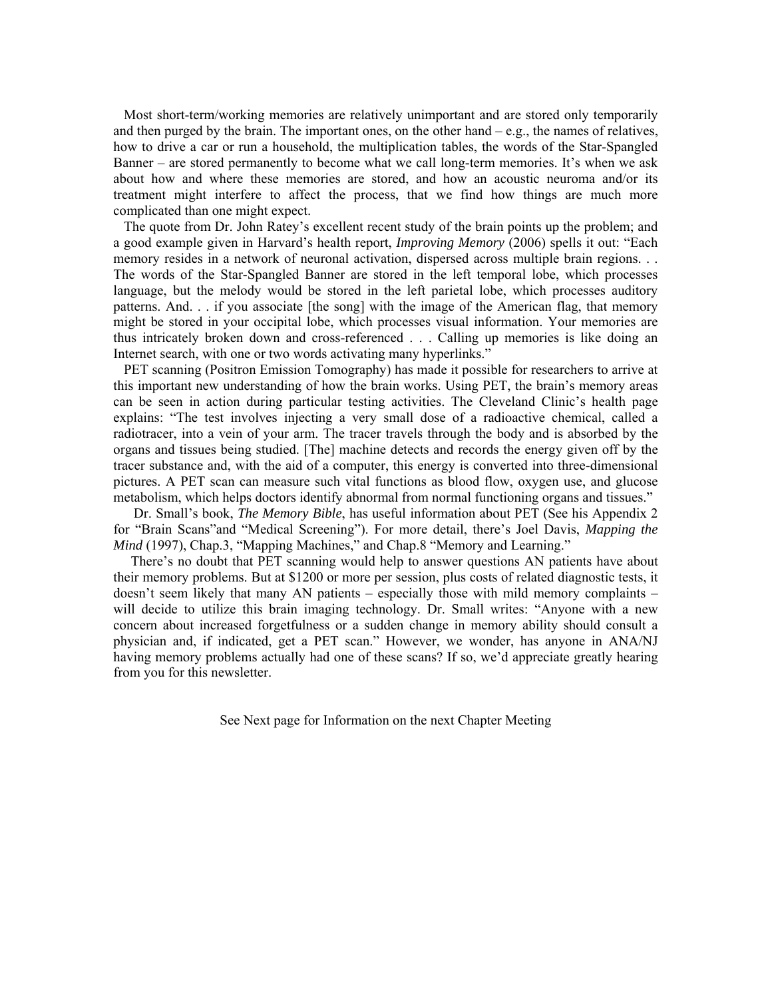Most short-term/working memories are relatively unimportant and are stored only temporarily and then purged by the brain. The important ones, on the other hand  $-e.g.,$  the names of relatives, how to drive a car or run a household, the multiplication tables, the words of the Star-Spangled Banner – are stored permanently to become what we call long-term memories. It's when we ask about how and where these memories are stored, and how an acoustic neuroma and/or its treatment might interfere to affect the process, that we find how things are much more complicated than one might expect.

 The quote from Dr. John Ratey's excellent recent study of the brain points up the problem; and a good example given in Harvard's health report, *Improving Memory* (2006) spells it out: "Each memory resides in a network of neuronal activation, dispersed across multiple brain regions. . . The words of the Star-Spangled Banner are stored in the left temporal lobe, which processes language, but the melody would be stored in the left parietal lobe, which processes auditory patterns. And. . . if you associate [the song] with the image of the American flag, that memory might be stored in your occipital lobe, which processes visual information. Your memories are thus intricately broken down and cross-referenced . . . Calling up memories is like doing an Internet search, with one or two words activating many hyperlinks."

 PET scanning (Positron Emission Tomography) has made it possible for researchers to arrive at this important new understanding of how the brain works. Using PET, the brain's memory areas can be seen in action during particular testing activities. The Cleveland Clinic's health page explains: "The test involves injecting a very small dose of a radioactive chemical, called a radiotracer, into a vein of your arm. The tracer travels through the body and is absorbed by the organs and tissues being studied. [The] machine detects and records the energy given off by the tracer substance and, with the aid of a computer, this energy is converted into three-dimensional pictures. A PET scan can measure such vital functions as blood flow, oxygen use, and glucose metabolism, which helps doctors identify abnormal from normal functioning organs and tissues."

 Dr. Small's book, *The Memory Bible*, has useful information about PET (See his Appendix 2 for "Brain Scans"and "Medical Screening"). For more detail, there's Joel Davis, *Mapping the Mind* (1997), Chap.3, "Mapping Machines," and Chap.8 "Memory and Learning."

 There's no doubt that PET scanning would help to answer questions AN patients have about their memory problems. But at \$1200 or more per session, plus costs of related diagnostic tests, it doesn't seem likely that many AN patients – especially those with mild memory complaints – will decide to utilize this brain imaging technology. Dr. Small writes: "Anyone with a new concern about increased forgetfulness or a sudden change in memory ability should consult a physician and, if indicated, get a PET scan." However, we wonder, has anyone in ANA/NJ having memory problems actually had one of these scans? If so, we'd appreciate greatly hearing from you for this newsletter.

See Next page for Information on the next Chapter Meeting